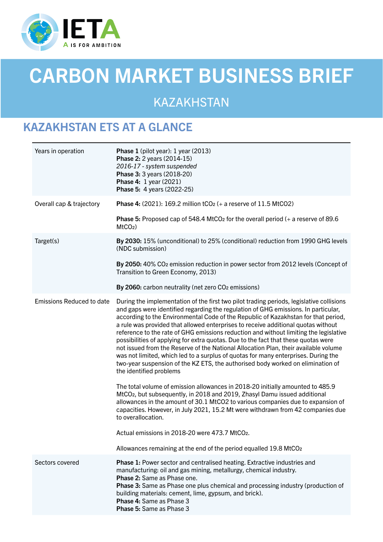

# CARBON MARKET BUSINESS BRIEF

KAZAKHSTAN

## KAZAKHSTAN ETS AT A GLANCE

| Years in operation               | Phase 1 (pilot year): 1 year (2013)<br>Phase 2: 2 years (2014-15)<br>2016-17 - system suspended<br>Phase 3: 3 years (2018-20)<br>Phase 4: 1 year (2021)<br>Phase 5: 4 years (2022-25)                                                                                                                                                                                                                                                                                                                                                                                                                                                                                                                                                                                                                                                                                                                                                                                                                                                                                                                                                                                                                      |
|----------------------------------|------------------------------------------------------------------------------------------------------------------------------------------------------------------------------------------------------------------------------------------------------------------------------------------------------------------------------------------------------------------------------------------------------------------------------------------------------------------------------------------------------------------------------------------------------------------------------------------------------------------------------------------------------------------------------------------------------------------------------------------------------------------------------------------------------------------------------------------------------------------------------------------------------------------------------------------------------------------------------------------------------------------------------------------------------------------------------------------------------------------------------------------------------------------------------------------------------------|
| Overall cap & trajectory         | <b>Phase 4:</b> (2021): 169.2 million $tCO2$ (+ a reserve of 11.5 MtCO2)                                                                                                                                                                                                                                                                                                                                                                                                                                                                                                                                                                                                                                                                                                                                                                                                                                                                                                                                                                                                                                                                                                                                   |
|                                  | <b>Phase 5:</b> Proposed cap of 548.4 MtCO <sub>2</sub> for the overall period $(+a)$ reserve of 89.6<br>$MtCO2$ )                                                                                                                                                                                                                                                                                                                                                                                                                                                                                                                                                                                                                                                                                                                                                                                                                                                                                                                                                                                                                                                                                         |
| Target(s)                        | By 2030: 15% (unconditional) to 25% (conditional) reduction from 1990 GHG levels<br>(NDC submission)                                                                                                                                                                                                                                                                                                                                                                                                                                                                                                                                                                                                                                                                                                                                                                                                                                                                                                                                                                                                                                                                                                       |
|                                  | By 2050: 40% CO <sub>2</sub> emission reduction in power sector from 2012 levels (Concept of<br>Transition to Green Economy, 2013)                                                                                                                                                                                                                                                                                                                                                                                                                                                                                                                                                                                                                                                                                                                                                                                                                                                                                                                                                                                                                                                                         |
|                                  | By 2060: carbon neutrality (net zero CO <sub>2</sub> emissions)                                                                                                                                                                                                                                                                                                                                                                                                                                                                                                                                                                                                                                                                                                                                                                                                                                                                                                                                                                                                                                                                                                                                            |
| <b>Emissions Reduced to date</b> | During the implementation of the first two pilot trading periods, legislative collisions<br>and gaps were identified regarding the regulation of GHG emissions. In particular,<br>according to the Environmental Code of the Republic of Kazakhstan for that period,<br>a rule was provided that allowed enterprises to receive additional quotas without<br>reference to the rate of GHG emissions reduction and without limiting the legislative<br>possibilities of applying for extra quotas. Due to the fact that these quotas were<br>not issued from the Reserve of the National Allocation Plan, their available volume<br>was not limited, which led to a surplus of quotas for many enterprises. During the<br>two-year suspension of the KZ ETS, the authorised body worked on elimination of<br>the identified problems<br>The total volume of emission allowances in 2018-20 initially amounted to 485.9<br>MtCO <sub>2</sub> , but subsequently, in 2018 and 2019, Zhasyl Damu issued additional<br>allowances in the amount of 30.1 MtCO2 to various companies due to expansion of<br>capacities. However, in July 2021, 15.2 Mt were withdrawn from 42 companies due<br>to overallocation. |
|                                  | Actual emissions in 2018-20 were 473.7 MtCO2.                                                                                                                                                                                                                                                                                                                                                                                                                                                                                                                                                                                                                                                                                                                                                                                                                                                                                                                                                                                                                                                                                                                                                              |
|                                  | Allowances remaining at the end of the period equalled 19.8 MtCO2                                                                                                                                                                                                                                                                                                                                                                                                                                                                                                                                                                                                                                                                                                                                                                                                                                                                                                                                                                                                                                                                                                                                          |
| Sectors covered                  | Phase 1: Power sector and centralised heating. Extractive industries and<br>manufacturing: oil and gas mining, metallurgy, chemical industry.<br><b>Phase 2: Same as Phase one.</b><br>Phase 3: Same as Phase one plus chemical and processing industry (production of<br>building materials: cement, lime, gypsum, and brick).<br>Phase 4: Same as Phase 3<br>Phase 5: Same as Phase 3                                                                                                                                                                                                                                                                                                                                                                                                                                                                                                                                                                                                                                                                                                                                                                                                                    |